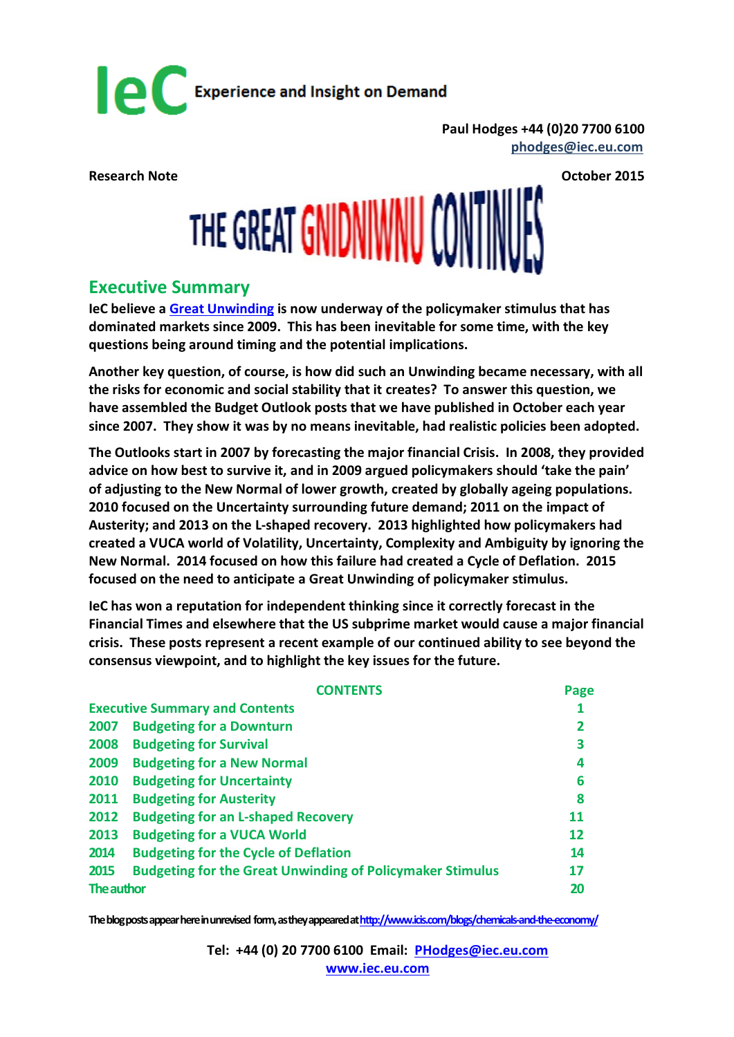

**Paul Hodges +44 (0)20 7700 6100 [phodges@iec.eu.com](mailto:phodges@iec.eu.com)** 

# Research Note<br>
THE GREAT GNIDNIWNU CONTINUES

### **Executive Summary**

**IeC believe a [Great Unwinding](http://internationalechem.com/wp-content/uploads/2014/10/Research-Note-Unwinding.pdf) is now underway of the policymaker stimulus that has dominated markets since 2009. This has been inevitable for some time, with the key questions being around timing and the potential implications.** 

**Another key question, of course, is how did such an Unwinding became necessary, with all the risks for economic and social stability that it creates? To answer this question, we have assembled the Budget Outlook posts that we have published in October each year since 2007. They show it was by no means inevitable, had realistic policies been adopted.**

**The Outlooks start in 2007 by forecasting the major financial Crisis. In 2008, they provided advice on how best to survive it, and in 2009 argued policymakers should 'take the pain' of adjusting to the New Normal of lower growth, created by globally ageing populations. 2010 focused on the Uncertainty surrounding future demand; 2011 on the impact of Austerity; and 2013 on the L-shaped recovery. 2013 highlighted how policymakers had created a VUCA world of Volatility, Uncertainty, Complexity and Ambiguity by ignoring the New Normal. 2014 focused on how this failure had created a Cycle of Deflation. 2015 focused on the need to anticipate a Great Unwinding of policymaker stimulus.**

**IeC has won a reputation for independent thinking since it correctly forecast in the Financial Times and elsewhere that the US subprime market would cause a major financial crisis. These posts represent a recent example of our continued ability to see beyond the consensus viewpoint, and to highlight the key issues for the future.**

|                                       | <b>CONTENTS</b>                                                  | Page           |
|---------------------------------------|------------------------------------------------------------------|----------------|
| <b>Executive Summary and Contents</b> |                                                                  |                |
| 2007                                  | <b>Budgeting for a Downturn</b>                                  | $\overline{2}$ |
| 2008                                  | <b>Budgeting for Survival</b>                                    | 3              |
| 2009                                  | <b>Budgeting for a New Normal</b>                                | 4              |
| 2010                                  | <b>Budgeting for Uncertainty</b>                                 | 6              |
| 2011                                  | <b>Budgeting for Austerity</b>                                   | 8              |
| 2012                                  | <b>Budgeting for an L-shaped Recovery</b>                        | 11             |
| 2013                                  | <b>Budgeting for a VUCA World</b>                                | 12             |
| 2014                                  | <b>Budgeting for the Cycle of Deflation</b>                      | 14             |
| 2015                                  | <b>Budgeting for the Great Unwinding of Policymaker Stimulus</b> | 17             |
| The author                            |                                                                  | 20             |

**The blogposts appear here in unrevised form, as they appeared a[thttp://www.icis.com/blogs/chemicals-and-the-economy/](http://www.icis.com/blogs/chemicals-and-the-economy/)**

**Tel: +44 (0) 20 7700 6100 Email: [PHodges@iec.eu.com](mailto:PHodges@iec.eu.com) [www.iec.eu.com](http://www.iec.eu.com/)**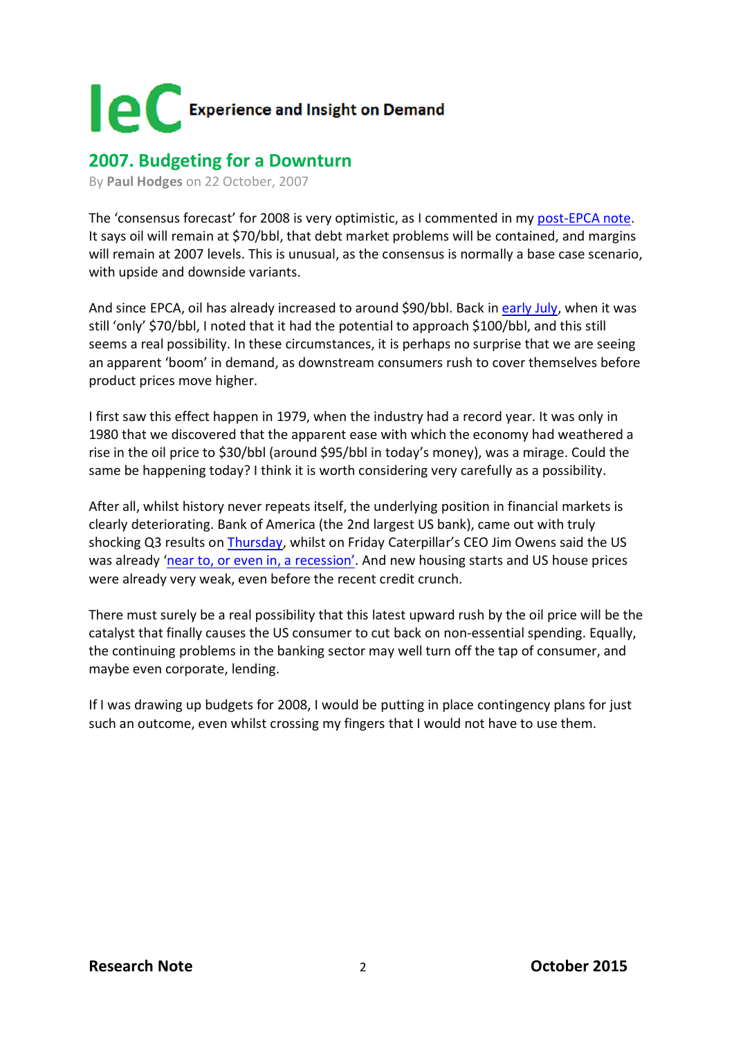

### **2007. Budgeting for a Downturn**

By **[Paul Hodges](http://www.icis.com/blogs/chemicals-and-the-economy/PaulHodges/)** on 22 October, 2007

The 'consensus forecast' for 2008 is very optimistic, as I commented in my [post-EPCA note.](http://www.icis.com/blogs/chemicals-and-the-economy/2007/10/03/epca-2007/) It says oil will remain at \$70/bbl, that debt market problems will be contained, and margins will remain at 2007 levels. This is unusual, as the consensus is normally a base case scenario, with upside and downside variants.

And since EPCA, oil has already increased to around \$90/bbl. Back in [early July,](http://www.icis.com/blogs/chemicals-and-the-economy/2007/07/05/what-price-oil-1/) when it was still 'only' \$70/bbl, I noted that it had the potential to approach \$100/bbl, and this still seems a real possibility. In these circumstances, it is perhaps no surprise that we are seeing an apparent 'boom' in demand, as downstream consumers rush to cover themselves before product prices move higher.

I first saw this effect happen in 1979, when the industry had a record year. It was only in 1980 that we discovered that the apparent ease with which the economy had weathered a rise in the oil price to \$30/bbl (around \$95/bbl in today's money), was a mirage. Could the same be happening today? I think it is worth considering very carefully as a possibility.

After all, whilst history never repeats itself, the underlying position in financial markets is clearly deteriorating. Bank of America (the 2nd largest US bank), came out with truly shocking Q3 results on [Thursday,](http://www.ft.com/cms/s/1/6690e784-7ddc-11dc-9f47-0000779fd2ac.html) whilst on Friday Caterpillar's CEO Jim Owens said the US was already ['near to, or even in, a recession'.](http://www.ft.com/cms/s/0/4ac7e4f4-7e7b-11dc-8fac-0000779fd2ac.html) And new housing starts and US house prices were already very weak, even before the recent credit crunch.

There must surely be a real possibility that this latest upward rush by the oil price will be the catalyst that finally causes the US consumer to cut back on non-essential spending. Equally, the continuing problems in the banking sector may well turn off the tap of consumer, and maybe even corporate, lending.

If I was drawing up budgets for 2008, I would be putting in place contingency plans for just such an outcome, even whilst crossing my fingers that I would not have to use them.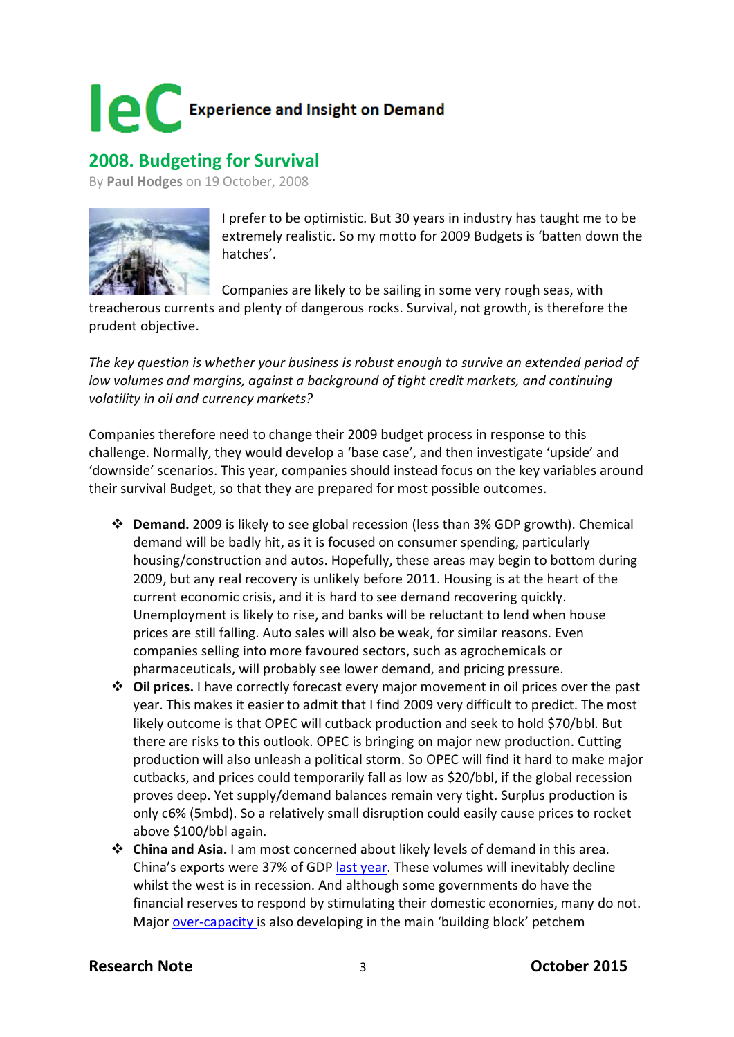

### **2008. Budgeting for Survival**

By **[Paul Hodges](http://www.icis.com/blogs/chemicals-and-the-economy/PaulHodges/)** on 19 October, 2008



I prefer to be optimistic. But 30 years in industry has taught me to be extremely realistic. So my motto for 2009 Budgets is 'batten down the hatches'.

Companies are likely to be sailing in some very rough seas, with

treacherous currents and plenty of dangerous rocks. Survival, not growth, is therefore the prudent objective.

*The key question is whether your business is robust enough to survive an extended period of low volumes and margins, against a background of tight credit markets, and continuing volatility in oil and currency markets?* 

Companies therefore need to change their 2009 budget process in response to this challenge. Normally, they would develop a 'base case', and then investigate 'upside' and 'downside' scenarios. This year, companies should instead focus on the key variables around their survival Budget, so that they are prepared for most possible outcomes.

- **Demand.** 2009 is likely to see global recession (less than 3% GDP growth). Chemical demand will be badly hit, as it is focused on consumer spending, particularly housing/construction and autos. Hopefully, these areas may begin to bottom during 2009, but any real recovery is unlikely before 2011. Housing is at the heart of the current economic crisis, and it is hard to see demand recovering quickly. Unemployment is likely to rise, and banks will be reluctant to lend when house prices are still falling. Auto sales will also be weak, for similar reasons. Even companies selling into more favoured sectors, such as agrochemicals or pharmaceuticals, will probably see lower demand, and pricing pressure.
- **Oil prices.** I have correctly forecast every major movement in oil prices over the past year. This makes it easier to admit that I find 2009 very difficult to predict. The most likely outcome is that OPEC will cutback production and seek to hold \$70/bbl. But there are risks to this outlook. OPEC is bringing on major new production. Cutting production will also unleash a political storm. So OPEC will find it hard to make major cutbacks, and prices could temporarily fall as low as \$20/bbl, if the global recession proves deep. Yet supply/demand balances remain very tight. Surplus production is only c6% (5mbd). So a relatively small disruption could easily cause prices to rocket above \$100/bbl again.
- **China and Asia.** I am most concerned about likely levels of demand in this area. China's exports were 37% of GDP [last year.](http://www.icis.com/blogs/chemicals-and-the-economy/2008/09/29/chinas-export-dependency-grows/) These volumes will inevitably decline whilst the west is in recession. And although some governments do have the financial reserves to respond by stimulating their domestic economies, many do not. Major [over-capacity is](http://www.icis.com/blogs/chemicals-and-the-economy/2008/08/17/increasing-change-complexity-c/) also developing in the main 'building block' petchem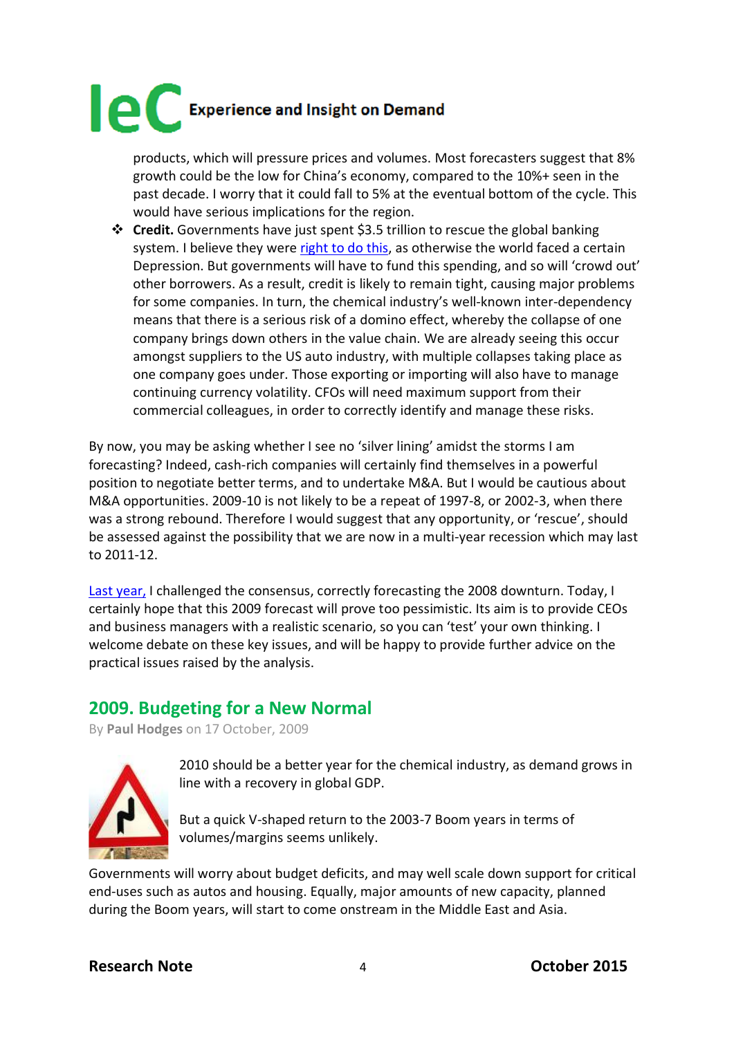products, which will pressure prices and volumes. Most forecasters suggest that 8% growth could be the low for China's economy, compared to the 10%+ seen in the past decade. I worry that it could fall to 5% at the eventual bottom of the cycle. This would have serious implications for the region.

 **Credit.** Governments have just spent \$3.5 trillion to rescue the global banking system. I believe they were [right to do this,](http://www.icis.com/blogs/chemicals-and-the-economy/2008/10/14/the-aptly-named-mr-darling/) as otherwise the world faced a certain Depression. But governments will have to fund this spending, and so will 'crowd out' other borrowers. As a result, credit is likely to remain tight, causing major problems for some companies. In turn, the chemical industry's well-known inter-dependency means that there is a serious risk of a domino effect, whereby the collapse of one company brings down others in the value chain. We are already seeing this occur amongst suppliers to the US auto industry, with multiple collapses taking place as one company goes under. Those exporting or importing will also have to manage continuing currency volatility. CFOs will need maximum support from their commercial colleagues, in order to correctly identify and manage these risks.

By now, you may be asking whether I see no 'silver lining' amidst the storms I am forecasting? Indeed, cash-rich companies will certainly find themselves in a powerful position to negotiate better terms, and to undertake M&A. But I would be cautious about M&A opportunities. 2009-10 is not likely to be a repeat of 1997-8, or 2002-3, when there was a strong rebound. Therefore I would suggest that any opportunity, or 'rescue', should be assessed against the possibility that we are now in a multi-year recession which may last to 2011-12.

[Last year,](http://www.icis.com/blogs/chemicals-and-the-economy/2007/10/22/budgeting-for-a-downturn-1/) I challenged the consensus, correctly forecasting the 2008 downturn. Today, I certainly hope that this 2009 forecast will prove too pessimistic. Its aim is to provide CEOs and business managers with a realistic scenario, so you can 'test' your own thinking. I welcome debate on these key issues, and will be happy to provide further advice on the practical issues raised by the analysis.

### **2009. Budgeting for a New Normal**

By **[Paul Hodges](http://www.icis.com/blogs/chemicals-and-the-economy/PaulHodges/)** on 17 October, 2009



2010 should be a better year for the chemical industry, as demand grows in line with a recovery in global GDP.

But a quick V-shaped return to the 2003-7 Boom years in terms of volumes/margins seems unlikely.

Governments will worry about budget deficits, and may well scale down support for critical end-uses such as autos and housing. Equally, major amounts of new capacity, planned during the Boom years, will start to come onstream in the Middle East and Asia.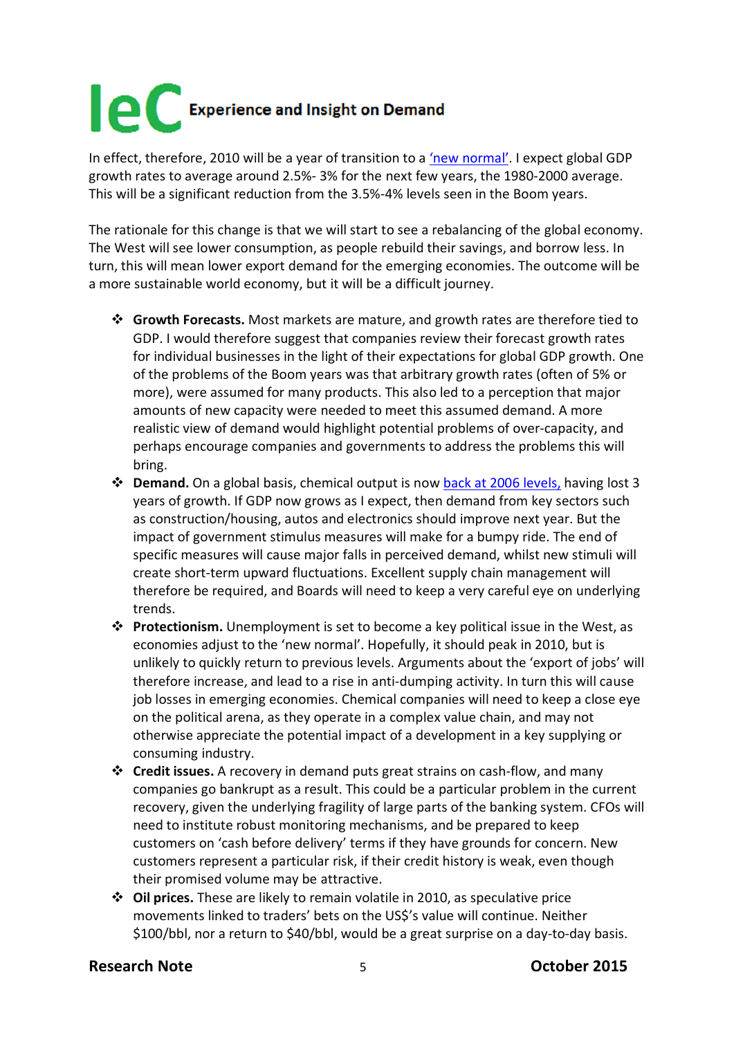In effect, therefore, 2010 will be a year of transition to a ['new normal'.](http://www.pimco.com/LeftNav/PIMCO+Spotlight/2009/Secular+Outlook+May+2009+El-Erian.htm) I expect global GDP growth rates to average around 2.5%- 3% for the next few years, the 1980-2000 average. This will be a significant reduction from the 3.5%-4% levels seen in the Boom years.

The rationale for this change is that we will start to see a rebalancing of the global economy. The West will see lower consumption, as people rebuild their savings, and borrow less. In turn, this will mean lower export demand for the emerging economies. The outcome will be a more sustainable world economy, but it will be a difficult journey.

- **Growth Forecasts.** Most markets are mature, and growth rates are therefore tied to GDP. I would therefore suggest that companies review their forecast growth rates for individual businesses in the light of their expectations for global GDP growth. One of the problems of the Boom years was that arbitrary growth rates (often of 5% or more), were assumed for many products. This also led to a perception that major amounts of new capacity were needed to meet this assumed demand. A more realistic view of demand would highlight potential problems of over-capacity, and perhaps encourage companies and governments to address the problems this will bring.
- **Demand.** On a global basis, chemical output is no[w back at 2006 levels,](http://www.icis.com/blogs/chemicals-and-the-economy/2009/10/03/global-chemicals-volume-back-t/) having lost 3 years of growth. If GDP now grows as I expect, then demand from key sectors such as construction/housing, autos and electronics should improve next year. But the impact of government stimulus measures will make for a bumpy ride. The end of specific measures will cause major falls in perceived demand, whilst new stimuli will create short-term upward fluctuations. Excellent supply chain management will therefore be required, and Boards will need to keep a very careful eye on underlying trends.
- **Protectionism.** Unemployment is set to become a key political issue in the West, as economies adjust to the 'new normal'. Hopefully, it should peak in 2010, but is unlikely to quickly return to previous levels. Arguments about the 'export of jobs' will therefore increase, and lead to a rise in anti-dumping activity. In turn this will cause job losses in emerging economies. Chemical companies will need to keep a close eye on the political arena, as they operate in a complex value chain, and may not otherwise appreciate the potential impact of a development in a key supplying or consuming industry.
- **Credit issues.** A recovery in demand puts great strains on cash-flow, and many companies go bankrupt as a result. This could be a particular problem in the current recovery, given the underlying fragility of large parts of the banking system. CFOs will need to institute robust monitoring mechanisms, and be prepared to keep customers on 'cash before delivery' terms if they have grounds for concern. New customers represent a particular risk, if their credit history is weak, even though their promised volume may be attractive.
- **Oil prices.** These are likely to remain volatile in 2010, as speculative price movements linked to traders' bets on the US\$'s value will continue. Neither \$100/bbl, nor a return to \$40/bbl, would be a great surprise on a day-to-day basis.

#### **Research Note** 5 **October 2015**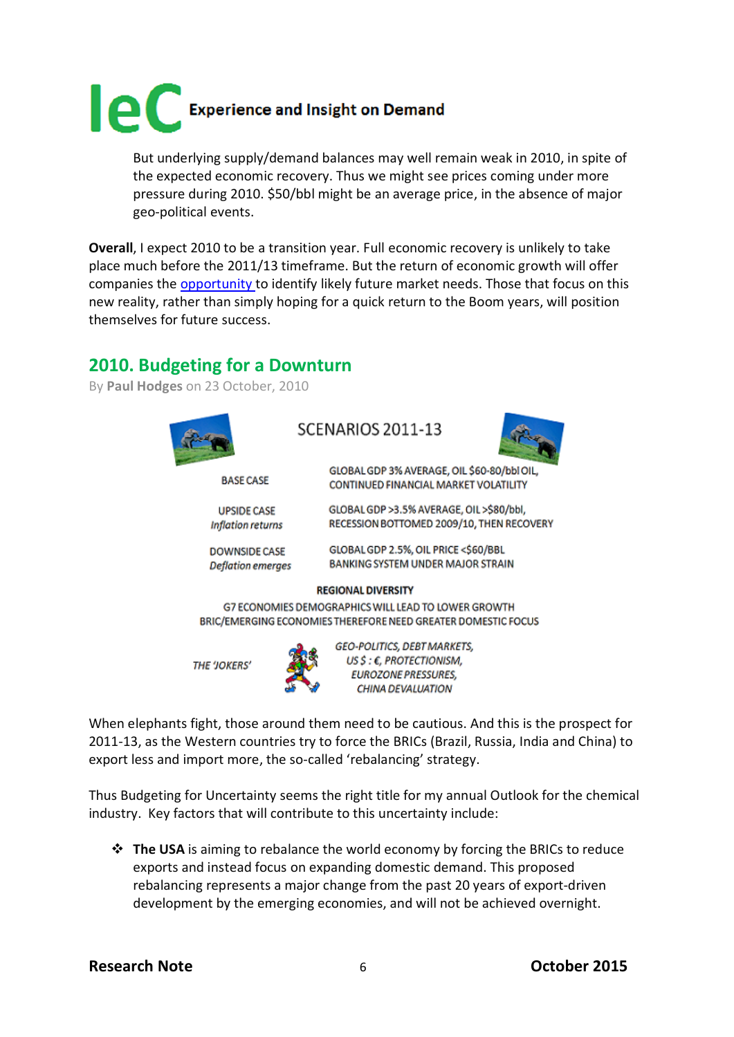

But underlying supply/demand balances may well remain weak in 2010, in spite of the expected economic recovery. Thus we might see prices coming under more pressure during 2010. \$50/bbl might be an average price, in the absence of major geo-political events.

**Overall**, I expect 2010 to be a transition year. Full economic recovery is unlikely to take place much before the 2011/13 timeframe. But the return of economic growth will offer companies the [opportunity t](http://www.icis.com/blogs/chemicals-and-the-economy/2009/10/07/petchems-prepares-for-a-new-re/)o identify likely future market needs. Those that focus on this new reality, rather than simply hoping for a quick return to the Boom years, will position themselves for future success.

### **2010. Budgeting for a Downturn**

By **[Paul Hodges](http://www.icis.com/blogs/chemicals-and-the-economy/PaulHodges/)** on 23 October, 2010



**DOWNSIDE CASE** 

**Deflation emerges** 

SCENARIOS 2011-13



GLOBAL GDP 3% AVERAGE, OIL \$60-80/bbl OIL CONTINUED FINANCIAL MARKET VOLATILITY

GLOBAL GDP >3.5% AVERAGE. OIL >\$80/bbl. RECESSION BOTTOMED 2009/10, THEN RECOVERY

GLOBAL GDP 2.5%, OIL PRICE <\$60/BBL BANKING SYSTEM UNDER MAJOR STRAIN

#### **REGIONAL DIVERSITY**

G7 ECONOMIES DEMOGRAPHICS WILL LEAD TO LOWER GROWTH BRIC/EMERGING ECONOMIES THEREFORE NEED GREATER DOMESTIC FOCUS

**THE 'JOKERS'** 

GEO-POLITICS, DEBT MARKETS, US \$ : €. PROTECTIONISM. **EUROZONE PRESSURES,** CHINA DEVALUATION

When elephants fight, those around them need to be cautious. And this is the prospect for 2011-13, as the Western countries try to force the BRICs (Brazil, Russia, India and China) to export less and import more, the so-called 'rebalancing' strategy.

Thus Budgeting for Uncertainty seems the right title for my annual Outlook for the chemical industry. Key factors that will contribute to this uncertainty include:

 **The USA** is aiming to rebalance the world economy by forcing the BRICs to reduce exports and instead focus on expanding domestic demand. This proposed rebalancing represents a major change from the past 20 years of export-driven development by the emerging economies, and will not be achieved overnight.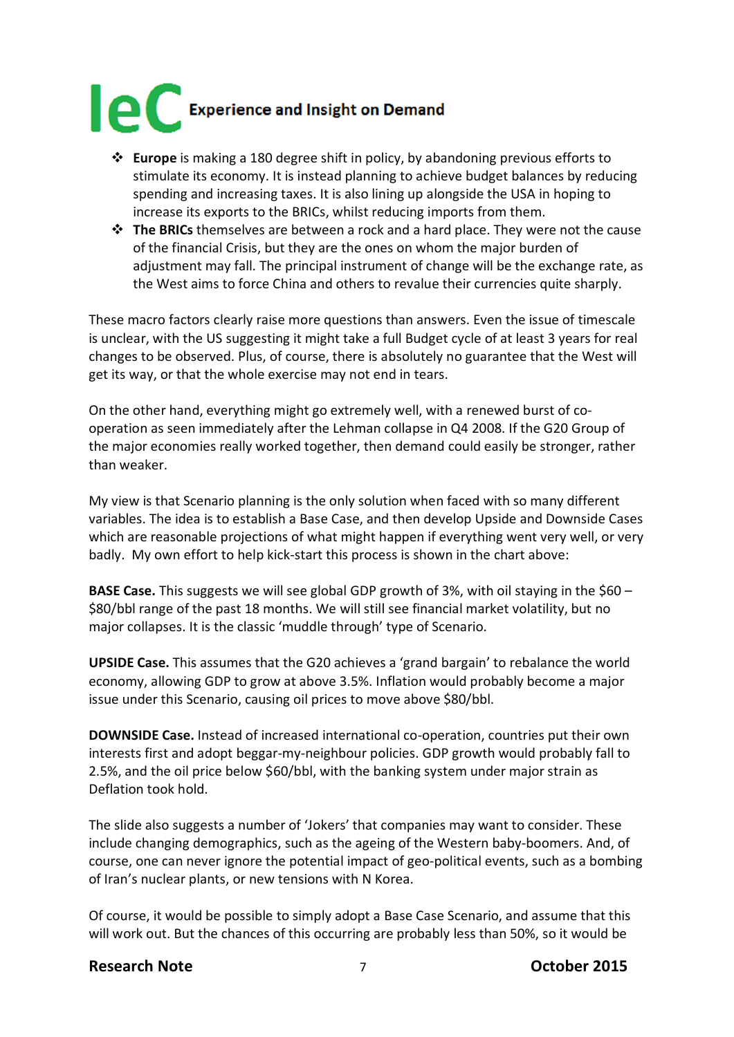

- **Europe** is making a 180 degree shift in policy, by abandoning previous efforts to stimulate its economy. It is instead planning to achieve budget balances by reducing spending and increasing taxes. It is also lining up alongside the USA in hoping to increase its exports to the BRICs, whilst reducing imports from them.
- **The BRICs** themselves are between a rock and a hard place. They were not the cause of the financial Crisis, but they are the ones on whom the major burden of adjustment may fall. The principal instrument of change will be the exchange rate, as the West aims to force China and others to revalue their currencies quite sharply.

These macro factors clearly raise more questions than answers. Even the issue of timescale is unclear, with the US suggesting it might take a full Budget cycle of at least 3 years for real changes to be observed. Plus, of course, there is absolutely no guarantee that the West will get its way, or that the whole exercise may not end in tears.

On the other hand, everything might go extremely well, with a renewed burst of cooperation as seen immediately after the Lehman collapse in Q4 2008. If the G20 Group of the major economies really worked together, then demand could easily be stronger, rather than weaker.

My view is that Scenario planning is the only solution when faced with so many different variables. The idea is to establish a Base Case, and then develop Upside and Downside Cases which are reasonable projections of what might happen if everything went very well, or very badly. My own effort to help kick-start this process is shown in the chart above:

**BASE Case.** This suggests we will see global GDP growth of 3%, with oil staying in the \$60 – \$80/bbl range of the past 18 months. We will still see financial market volatility, but no major collapses. It is the classic 'muddle through' type of Scenario.

**UPSIDE Case.** This assumes that the G20 achieves a 'grand bargain' to rebalance the world economy, allowing GDP to grow at above 3.5%. Inflation would probably become a major issue under this Scenario, causing oil prices to move above \$80/bbl.

**DOWNSIDE Case.** Instead of increased international co-operation, countries put their own interests first and adopt beggar-my-neighbour policies. GDP growth would probably fall to 2.5%, and the oil price below \$60/bbl, with the banking system under major strain as Deflation took hold.

The slide also suggests a number of 'Jokers' that companies may want to consider. These include changing demographics, such as the ageing of the Western baby-boomers. And, of course, one can never ignore the potential impact of geo-political events, such as a bombing of Iran's nuclear plants, or new tensions with N Korea.

Of course, it would be possible to simply adopt a Base Case Scenario, and assume that this will work out. But the chances of this occurring are probably less than 50%, so it would be

### **Research Note** 7 **October 2015**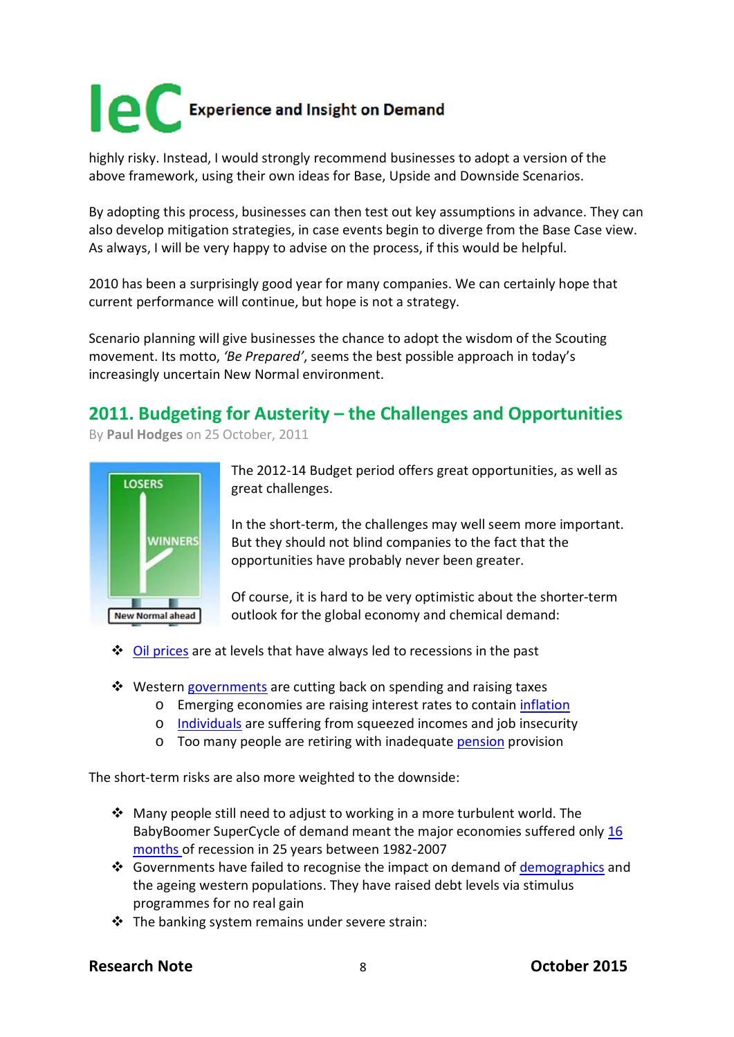highly risky. Instead, I would strongly recommend businesses to adopt a version of the above framework, using their own ideas for Base, Upside and Downside Scenarios.

By adopting this process, businesses can then test out key assumptions in advance. They can also develop mitigation strategies, in case events begin to diverge from the Base Case view. As always, I will be very happy to advise on the process, if this would be helpful.

2010 has been a surprisingly good year for many companies. We can certainly hope that current performance will continue, but hope is not a strategy.

Scenario planning will give businesses the chance to adopt the wisdom of the Scouting movement. Its motto, *'Be Prepared'*, seems the best possible approach in today's increasingly uncertain New Normal environment.

# **2011. Budgeting for Austerity – the Challenges and Opportunities**

By **[Paul Hodges](http://www.icis.com/blogs/chemicals-and-the-economy/PaulHodges/)** on 25 October, 2011



The 2012-14 Budget period offers great opportunities, as well as great challenges.

In the short-term, the challenges may well seem more important. But they should not blind companies to the fact that the opportunities have probably never been greater.

Of course, it is hard to be very optimistic about the shorter-term outlook for the global economy and chemical demand:

- $\triangle$  [Oil prices](http://www.icis.com/blogs/chemicals-and-the-economy/2011/10/12/global-oil-costs-now-over-5-of/) are at levels that have always led to recessions in the past
- ❖ Western [governments](http://www.icis.com/blogs/chemicals-and-the-economy/2011/10/20/europes-austerity-packages-sta/) are cutting back on spending and raising taxes
	- o Emerging economies are raising interest rates to contain [inflation](http://www.icis.com/blogs/chemicals-and-the-economy/2011/09/17/chinas-lending-contines-to-tig/)
	- o [Individuals](http://www.icis.com/blogs/chemicals-and-the-economy/2011/10/18/lower-earnings-pensions-hit-us-consumers/) are suffering from squeezed incomes and job insecurity
	- o Too many people are retiring with inadequate [pension](http://www.icis.com/blogs/chemicals-and-the-economy/2011/09/24/more-western-pensioners-means/) provision

The short-term risks are also more weighted to the downside:

- $\triangle$  Many people still need to adjust to working in a more turbulent world. The BabyBoomer SuperCycle of demand meant the major economies suffered only [16](http://www.icis.com/blogs/chemicals-and-the-economy/2011/06/11/global-economy-goes-back-to-th/)  [months o](http://www.icis.com/blogs/chemicals-and-the-economy/2011/06/11/global-economy-goes-back-to-th/)f recession in 25 years between 1982-2007
- ❖ Governments have failed to recognise the impact on demand of [demographics](http://www.icis.com/blogs/chemicals-and-the-economy/2011/09/06/the-blog-in-the-financial-time/) and the ageing western populations. They have raised debt levels via stimulus programmes for no real gain
- $\cdot \cdot$  The banking system remains under severe strain:

### **Research Note** 8 **October 2015**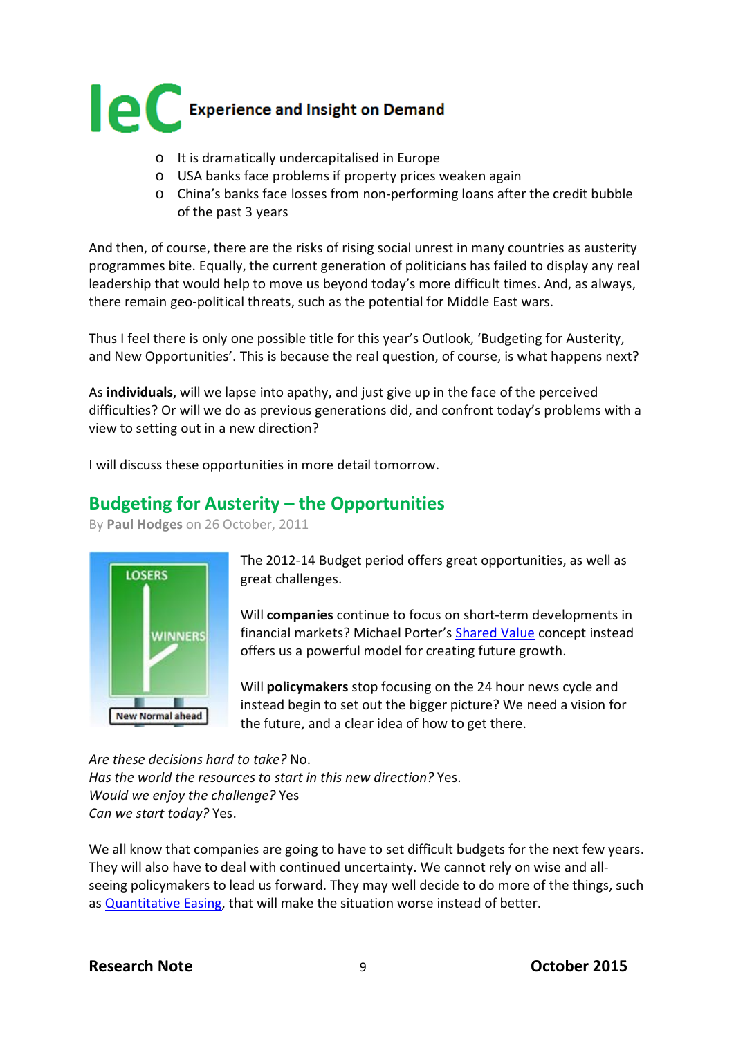

- o It is dramatically undercapitalised in Europe
- o USA banks face problems if property prices weaken again
- o China's banks face losses from non-performing loans after the credit bubble of the past 3 years

And then, of course, there are the risks of rising social unrest in many countries as austerity programmes bite. Equally, the current generation of politicians has failed to display any real leadership that would help to move us beyond today's more difficult times. And, as always, there remain geo-political threats, such as the potential for Middle East wars.

Thus I feel there is only one possible title for this year's Outlook, 'Budgeting for Austerity, and New Opportunities'. This is because the real question, of course, is what happens next?

As **individuals**, will we lapse into apathy, and just give up in the face of the perceived difficulties? Or will we do as previous generations did, and confront today's problems with a view to setting out in a new direction?

I will discuss these opportunities in more detail tomorrow.

### **Budgeting for Austerity – the Opportunities**

By **[Paul Hodges](http://www.icis.com/blogs/chemicals-and-the-economy/PaulHodges/)** on 26 October, 2011



The 2012-14 Budget period offers great opportunities, as well as great challenges.

Will **companies** continue to focus on short-term developments in financial markets? Michael Porter's [Shared Value](http://www.icis.com/blogs/chemicals-and-the-economy/2011/01/08/shared-value-to-replace-shareh/) concept instead offers us a powerful model for creating future growth.

Will **policymakers** stop focusing on the 24 hour news cycle and instead begin to set out the bigger picture? We need a vision for the future, and a clear idea of how to get there.

*Are these decisions hard to take?* No. *Has the world the resources to start in this new direction?* Yes. *Would we enjoy the challenge?* Yes *Can we start today?* Yes.

We all know that companies are going to have to set difficult budgets for the next few years. They will also have to deal with continued uncertainty. We cannot rely on wise and allseeing policymakers to lead us forward. They may well decide to do more of the things, such as [Quantitative Easing,](http://www.icis.com/blogs/chemicals-and-the-economy/2011/08/13/protectionism-moves-closer-as/) that will make the situation worse instead of better.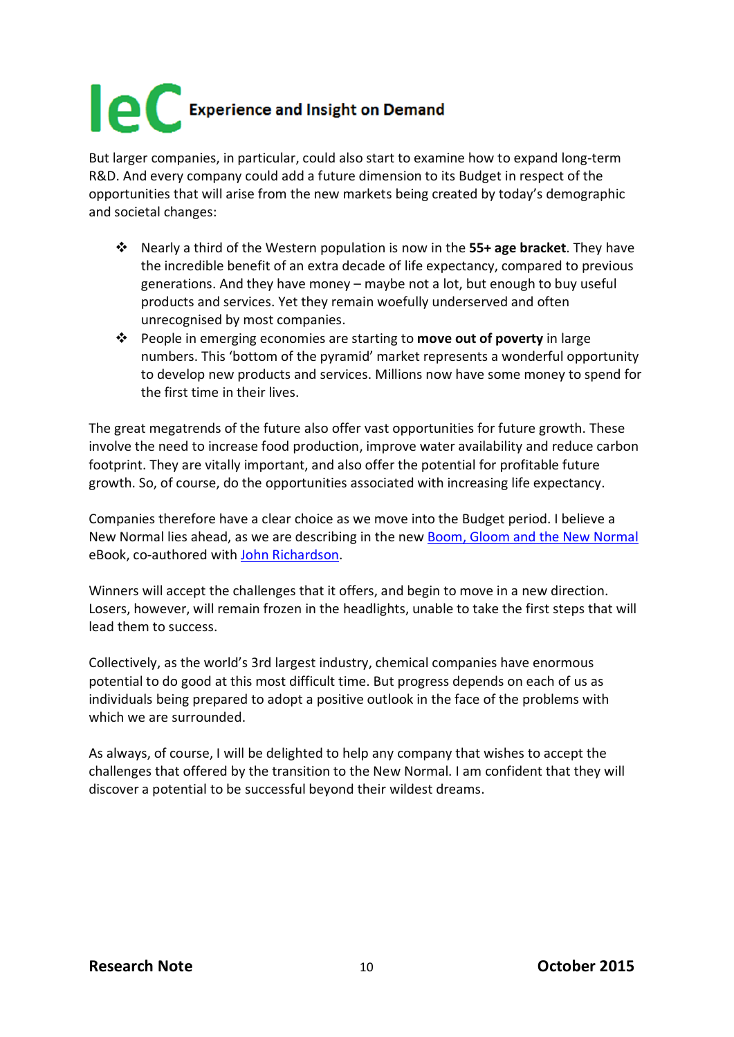But larger companies, in particular, could also start to examine how to expand long-term R&D. And every company could add a future dimension to its Budget in respect of the opportunities that will arise from the new markets being created by today's demographic and societal changes:

- Nearly a third of the Western population is now in the **55+ age bracket**. They have the incredible benefit of an extra decade of life expectancy, compared to previous generations. And they have money – maybe not a lot, but enough to buy useful products and services. Yet they remain woefully underserved and often unrecognised by most companies.
- People in emerging economies are starting to **move out of poverty** in large numbers. This 'bottom of the pyramid' market represents a wonderful opportunity to develop new products and services. Millions now have some money to spend for the first time in their lives.

The great megatrends of the future also offer vast opportunities for future growth. These involve the need to increase food production, improve water availability and reduce carbon footprint. They are vitally important, and also offer the potential for profitable future growth. So, of course, do the opportunities associated with increasing life expectancy.

Companies therefore have a clear choice as we move into the Budget period. I believe a New Normal lies ahead, as we are describing in the new [Boom, Gloom and the New Normal](http://www.new-normal.com/book) eBook, co-authored with [John Richardson.](http://www.icis.com/blogs/asian-chemical-connections/)

Winners will accept the challenges that it offers, and begin to move in a new direction. Losers, however, will remain frozen in the headlights, unable to take the first steps that will lead them to success.

Collectively, as the world's 3rd largest industry, chemical companies have enormous potential to do good at this most difficult time. But progress depends on each of us as individuals being prepared to adopt a positive outlook in the face of the problems with which we are surrounded.

As always, of course, I will be delighted to help any company that wishes to accept the challenges that offered by the transition to the New Normal. I am confident that they will discover a potential to be successful beyond their wildest dreams.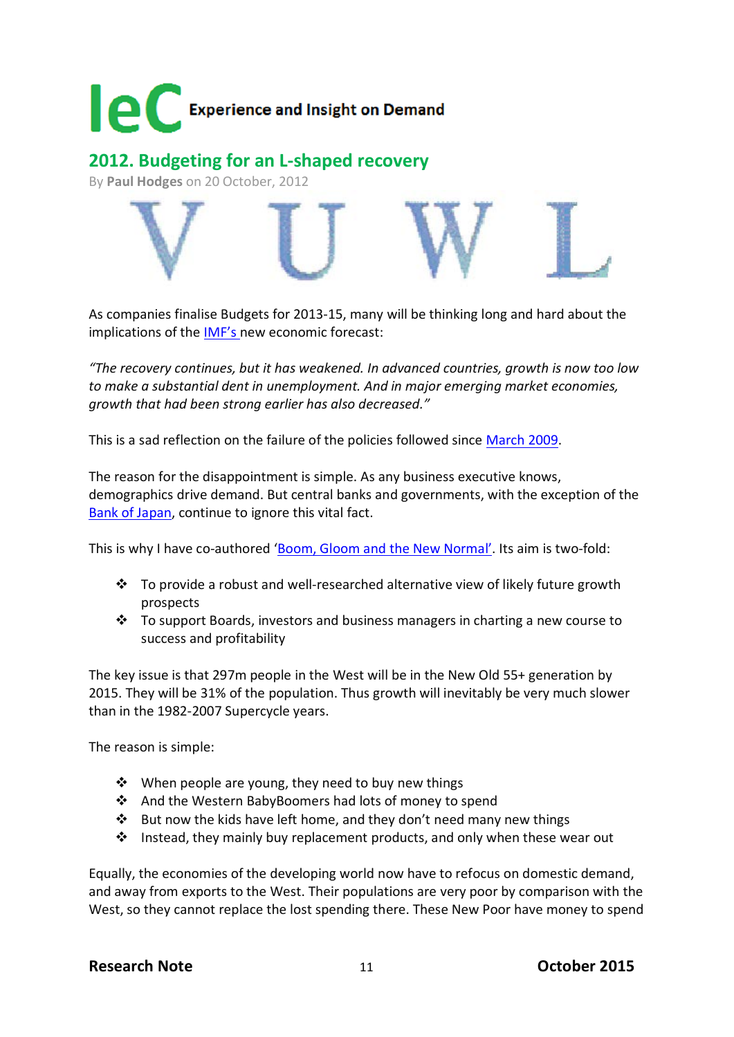

**2012. Budgeting for an L-shaped recovery**

By **[Paul Hodges](http://www.icis.com/blogs/chemicals-and-the-economy/PaulHodges/)** on 20 October, 2012



As companies finalise Budgets for 2013-15, many will be thinking long and hard about the implications of the [IMF's n](http://www.imf.org/external/pubs/ft/weo/2012/02/index.htm)ew economic forecast:

*"The recovery continues, but it has weakened. In advanced countries, growth is now too low to make a substantial dent in unemployment. And in major emerging market economies, growth that had been strong earlier has also decreased."*

This is a sad reflection on the failure of the policies followed since [March 2009.](http://www.icis.com/blogs/chemicals-and-the-economy/2009/04/01/g-20-prepares-for-london-meeti/)

The reason for the disappointment is simple. As any business executive knows, demographics drive demand. But central banks and governments, with the exception of the [Bank of Japan,](http://www.bloomberg.com/news/2012-08-21/china-entering-demographic-danger-zone-boj-official-says-2-.html) continue to ignore this vital fact.

This is why I have co-authored ['Boom, Gloom and the New Normal'.](http://www.new-normal.com/) Its aim is two-fold:

- $\cdot \cdot$  To provide a robust and well-researched alternative view of likely future growth prospects
- $\cdot \cdot$  To support Boards, investors and business managers in charting a new course to success and profitability

The key issue is that 297m people in the West will be in the New Old 55+ generation by 2015. They will be 31% of the population. Thus growth will inevitably be very much slower than in the 1982-2007 Supercycle years.

The reason is simple:

- ❖ When people are young, they need to buy new things
- And the Western BabyBoomers had lots of money to spend
- $\cdot \cdot$  But now the kids have left home, and they don't need many new things
- $\cdot \cdot$  Instead, they mainly buy replacement products, and only when these wear out

Equally, the economies of the developing world now have to refocus on domestic demand, and away from exports to the West. Their populations are very poor by comparison with the West, so they cannot replace the lost spending there. These New Poor have money to spend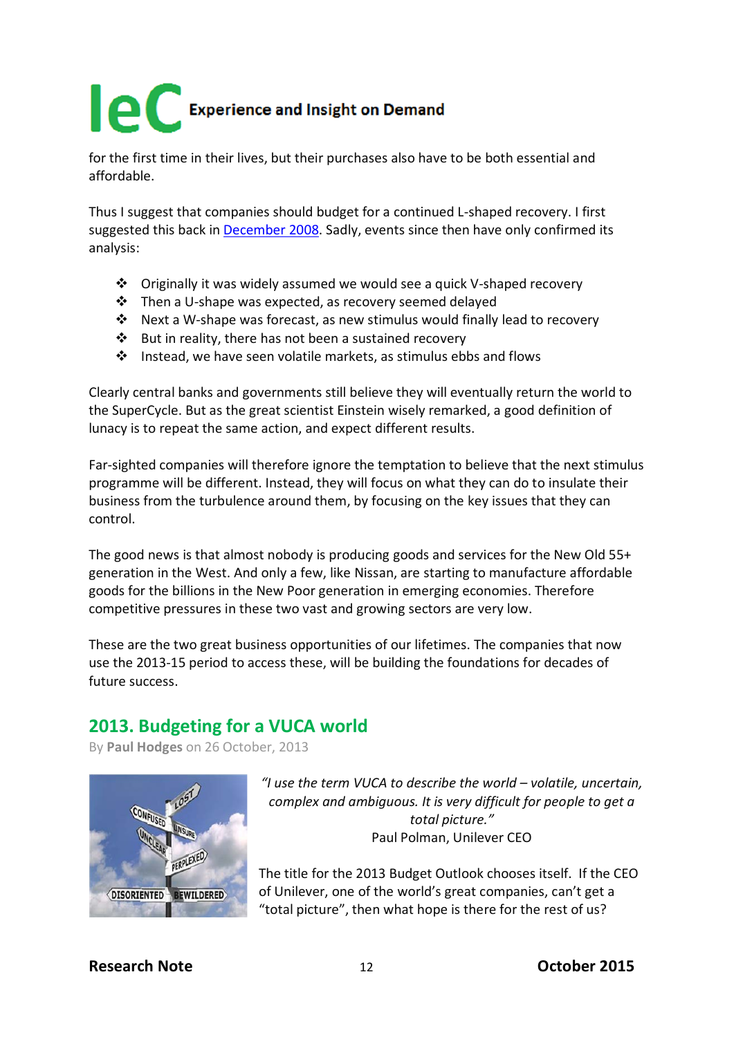for the first time in their lives, but their purchases also have to be both essential and affordable.

Thus I suggest that companies should budget for a continued L-shaped recovery. I first suggested this back in [December 2008.](http://www.icis.com/blogs/chemicals-and-the-economy/2008/12/14/a-v-u-w-or-l-shaped-recessi/) Sadly, events since then have only confirmed its analysis:

- Originally it was widely assumed we would see a quick V-shaped recovery
- Then a U-shape was expected, as recovery seemed delayed
- Next a W-shape was forecast, as new stimulus would finally lead to recovery
- $\cdot$  But in reality, there has not been a sustained recovery
- Instead, we have seen volatile markets, as stimulus ebbs and flows

Clearly central banks and governments still believe they will eventually return the world to the SuperCycle. But as the great scientist Einstein wisely remarked, a good definition of lunacy is to repeat the same action, and expect different results.

Far-sighted companies will therefore ignore the temptation to believe that the next stimulus programme will be different. Instead, they will focus on what they can do to insulate their business from the turbulence around them, by focusing on the key issues that they can control.

The good news is that almost nobody is producing goods and services for the New Old 55+ generation in the West. And only a few, like Nissan, are starting to manufacture affordable goods for the billions in the New Poor generation in emerging economies. Therefore competitive pressures in these two vast and growing sectors are very low.

These are the two great business opportunities of our lifetimes. The companies that now use the 2013-15 period to access these, will be building the foundations for decades of future success.

### **2013. Budgeting for a VUCA world**

By **[Paul Hodges](http://www.icis.com/blogs/chemicals-and-the-economy/PaulHodges/)** on 26 October, 2013



*"I use the term VUCA to describe the world – volatile, uncertain, complex and ambiguous. It is very difficult for people to get a total picture."* Paul Polman, Unilever CEO

The title for the 2013 Budget Outlook chooses itself. If the CEO of Unilever, one of the world's great companies, can't get a "total picture", then what hope is there for the rest of us?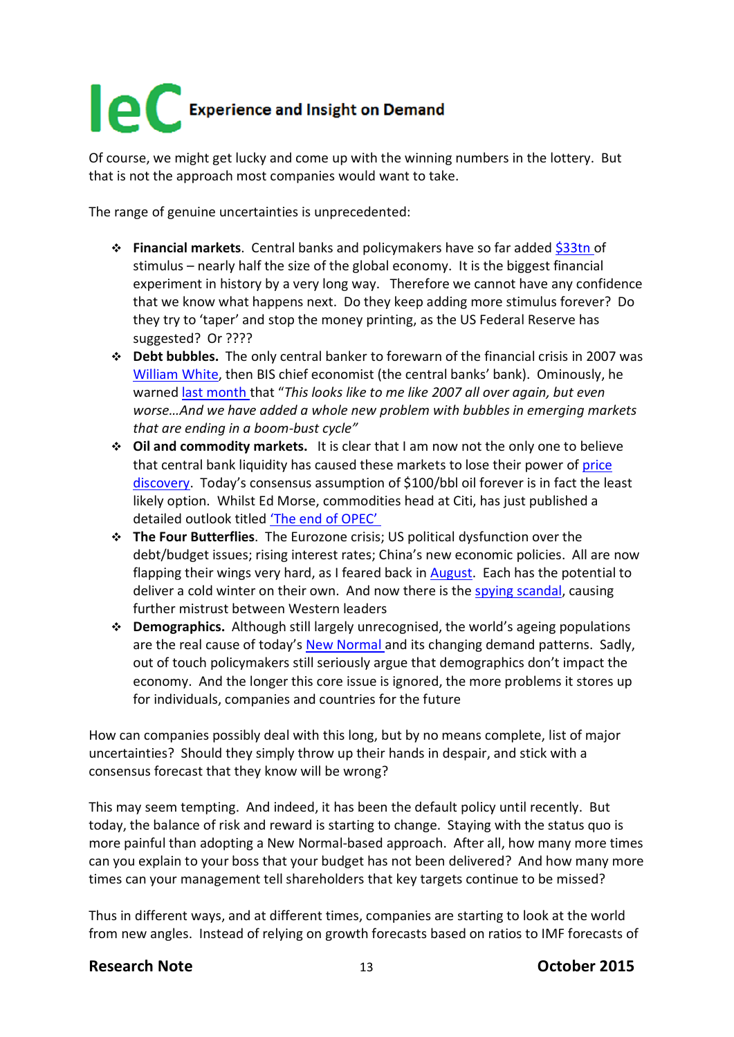Of course, we might get lucky and come up with the winning numbers in the lottery. But that is not the approach most companies would want to take.

The range of genuine uncertainties is unprecedented:

- **Financial markets**. Central banks and policymakers have so far added [\\$33tn o](http://www.icis.com/blogs/chemicals-and-the-economy/2013/07/global-operating-rates-continue-to-slip/)f stimulus – nearly half the size of the global economy. It is the biggest financial experiment in history by a very long way. Therefore we cannot have any confidence that we know what happens next. Do they keep adding more stimulus forever? Do they try to 'taper' and stop the money printing, as the US Federal Reserve has suggested? Or ????
- **Debt bubbles.** The only central banker to forewarn of the financial crisis in 2007 was [William White,](http://www.icis.com/blogs/chemicals-and-the-economy/2013/10/budgeting-vuca-world/each%20company%20to%20develop%20its%20own%20VUCA%20for%20success) then BIS chief economist (the central banks' bank). Ominously, he warned [last month t](http://www.telegraph.co.uk/finance/10310598/BIS-veteran-says-global-credit-excess-worse-than-pre-Lehman.html)hat "*This looks like to me like 2007 all over again, but even worse…And we have added a whole new problem with bubbles in emerging markets that are ending in a boom-bust cycle"*
- **Oil and commodity markets.** It is clear that I am now not the only one to believe that central bank liquidity has caused these markets to lose their power of [price](http://www.icis.com/blogs/chemicals-and-the-economy/2013/10/high-frequency-trading-continues-to-take-markets-higher/)  [discovery.](http://www.icis.com/blogs/chemicals-and-the-economy/2013/10/high-frequency-trading-continues-to-take-markets-higher/) Today's consensus assumption of \$100/bbl oil forever is in fact the least likely option. Whilst Ed Morse, commodities head at Citi, has just published a detailed outlook titled ['The end of OPEC'](http://www.foreignpolicy.com/articles/2013/10/16/the_end_of_opec_america_energy_oil?page=0,0&wp_login_redirect=0)
- **The Four Butterflies**. The Eurozone crisis; US political dysfunction over the debt/budget issues; rising interest rates; China's new economic policies. All are now flapping their wings very hard, as I feared back in [August.](http://www.icis.com/blogs/chemicals-and-the-economy/2013/08/a-flap-of-a-butterflys-wings-to-freeze-the-uk-economy/) Each has the potential to deliver a cold winter on their own. And now there is the [spying scandal,](http://www.bbc.co.uk/news/world-europe-24647602) causing further mistrust between Western leaders
- **Demographics.** Although still largely unrecognised, the world's ageing populations are the real cause of today's [New Normal a](http://www.new-normal.com/)nd its changing demand patterns. Sadly, out of touch policymakers still seriously argue that demographics don't impact the economy. And the longer this core issue is ignored, the more problems it stores up for individuals, companies and countries for the future

How can companies possibly deal with this long, but by no means complete, list of major uncertainties? Should they simply throw up their hands in despair, and stick with a consensus forecast that they know will be wrong?

This may seem tempting. And indeed, it has been the default policy until recently. But today, the balance of risk and reward is starting to change. Staying with the status quo is more painful than adopting a New Normal-based approach. After all, how many more times can you explain to your boss that your budget has not been delivered? And how many more times can your management tell shareholders that key targets continue to be missed?

Thus in different ways, and at different times, companies are starting to look at the world from new angles. Instead of relying on growth forecasts based on ratios to IMF forecasts of

### **Research Note** 13 **October 2015**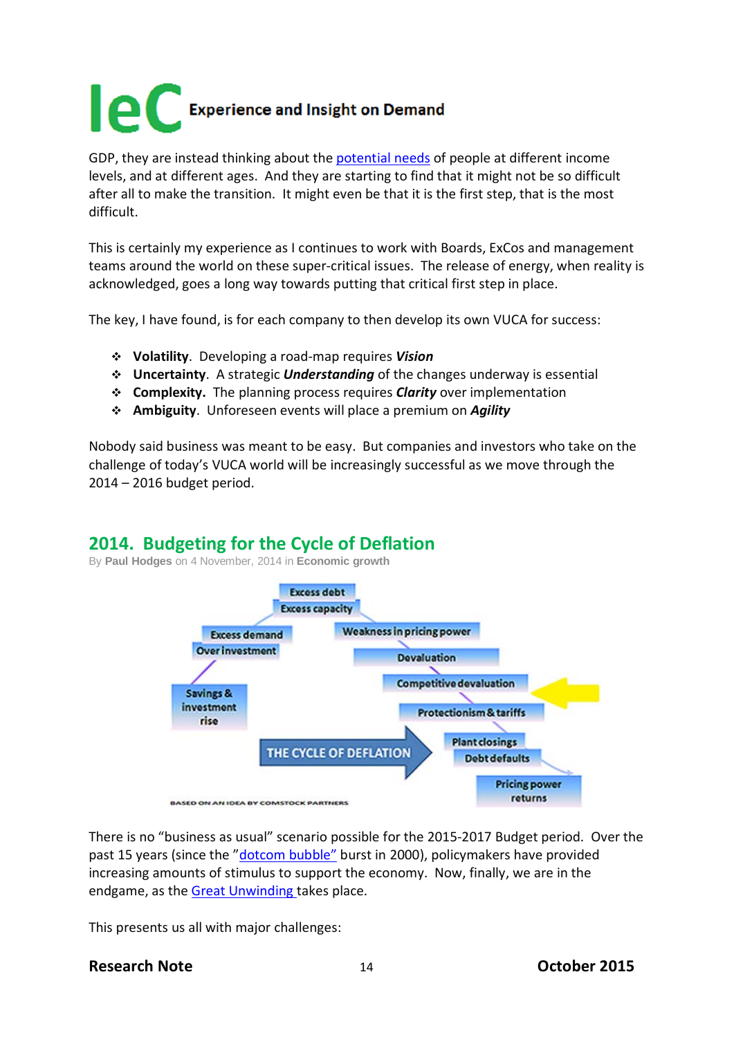

GDP, they are instead thinking about the [potential needs](http://internationalechem.com/wp-content/uploads/2013/10/ICB-Oct13.pdf) of people at different income levels, and at different ages. And they are starting to find that it might not be so difficult after all to make the transition. It might even be that it is the first step, that is the most difficult.

This is certainly my experience as I continues to work with Boards, ExCos and management teams around the world on these super-critical issues. The release of energy, when reality is acknowledged, goes a long way towards putting that critical first step in place.

The key, I have found, is for each company to then develop its own VUCA for success:

- **Volatility**. Developing a road-map requires *Vision*
- **Uncertainty**. A strategic *Understanding* of the changes underway is essential
- **Complexity.** The planning process requires *Clarity* over implementation
- **Ambiguity**. Unforeseen events will place a premium on *Agility*

Nobody said business was meant to be easy. But companies and investors who take on the challenge of today's VUCA world will be increasingly successful as we move through the 2014 – 2016 budget period.

### **2014. Budgeting for the Cycle of Deflation**

By **[Paul Hodges](https://icis.rbiblogs.co.uk/chemicals-and-the-economy/PaulHodges/)** on 4 November, 2014 in **[Economic growth](https://icis.rbiblogs.co.uk/chemicals-and-the-economy/economic-growth-1/)**



There is no "business as usual" scenario possible for the 2015-2017 Budget period. Over the past 15 years (since the ["dotcom bubble"](http://en.wikipedia.org/wiki/Dot-com_bubble) burst in 2000), policymakers have provided increasing amounts of stimulus to support the economy. Now, finally, we are in the endgame, as the [Great Unwinding t](http://www.icis.com/blogs/chemicals-and-the-economy/2014/10/great-unwinding-policymaker-stimulus-way/)akes place.

This presents us all with major challenges:

### **Research Note** 14 **October 2015**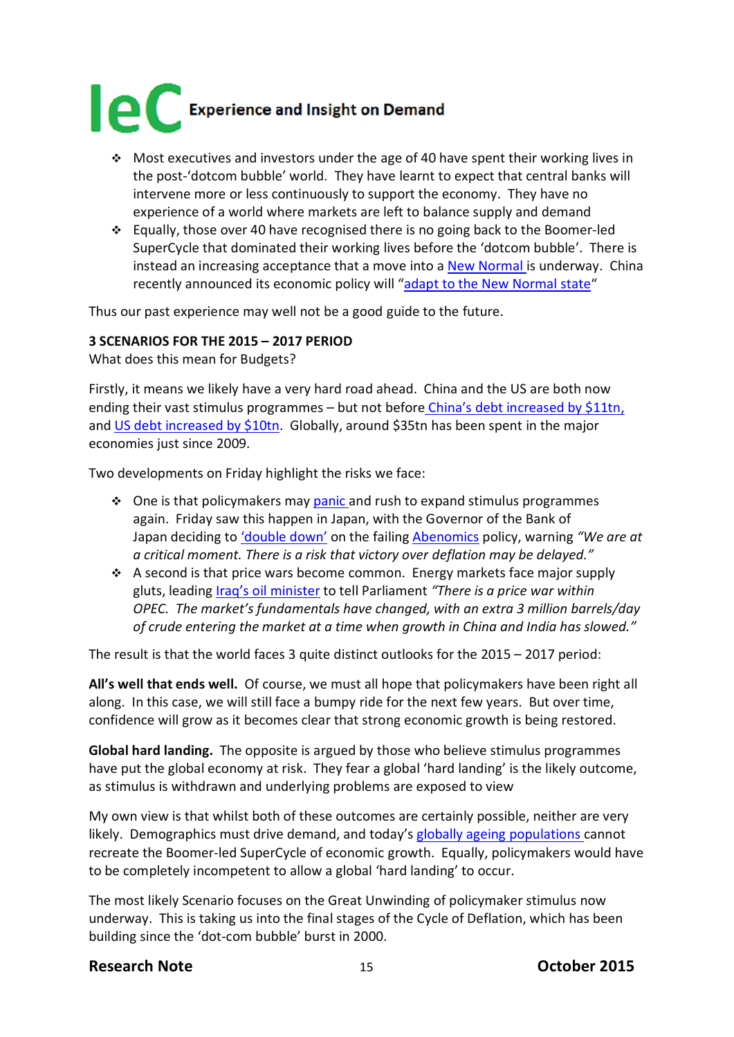

- $\div$  Most executives and investors under the age of 40 have spent their working lives in the post-'dotcom bubble' world. They have learnt to expect that central banks will intervene more or less continuously to support the economy. They have no experience of a world where markets are left to balance supply and demand
- Equally, those over 40 have recognised there is no going back to the Boomer-led SuperCycle that dominated their working lives before the 'dotcom bubble'. There is instead an increasing acceptance that a move into a New [Normal is](http://www.new-normal.com/) underway. China recently announced its economic policy will ["adapt to the New Normal state"](http://www.chinadaily.com.cn/opinion/2014-10/10/content_18716671.htm)

Thus our past experience may well not be a good guide to the future.

#### **3 SCENARIOS FOR THE 2015 – 2017 PERIOD**

What does this mean for Budgets?

Firstly, it means we likely have a very hard road ahead. China and the US are both now ending their vast stimulus programmes – but not before China's [debt increased by](http://www.icis.com/blogs/chemicals-and-the-economy/2014/10/great-unwinding-policymaker-stimulus-way/) \$11tn, and [US debt increased by \\$10tn.](http://www.icis.com/blogs/chemicals-and-the-economy/2014/07/20tn-us-china-stimulus-and-lending-but-recovery-elusive/) Globally, around \$35tn has been spent in the major economies just since 2009.

Two developments on Friday highlight the risks we face:

- ◆ One is that policymakers may [panic a](http://www.icis.com/blogs/chemicals-and-the-economy/2014/11/japan/)nd rush to expand stimulus programmes again. Friday saw this happen in Japan, with the Governor of the Bank of Japan deciding to ['double down'](http://www.ft.com/cms/s/0/a8706cfe-60bc-11e4-894b-00144feabdc0.html?siteedition=uk#axzz3HibCHisR) on the failing [Abenomics](http://www.icis.com/blogs/chemicals-and-the-economy/2014/08/the-great-unwinding-of-policymaker-stimulus-has-begun/) policy, warning *"We are at a critical moment. There is a risk that victory over deflation may be delayed."*
- $\bullet$  A second is that price wars become common. Energy markets face major supply gluts, leading [Iraq's oil minister](http://www.bloomberg.com/news/2014-10-31/opec-in-price-war-as-iraq-says-members-fight-for-market.html) to tell Parliament *"There is a price war within OPEC. The market's fundamentals have changed, with an extra 3 million barrels/day of crude entering the market at a time when growth in China and India has slowed."*

The result is that the world faces 3 quite distinct outlooks for the 2015 – 2017 period:

**All's well that ends well.** Of course, we must all hope that policymakers have been right all along. In this case, we will still face a bumpy ride for the next few years. But over time, confidence will grow as it becomes clear that strong economic growth is being restored.

**Global hard landing.** The opposite is argued by those who believe stimulus programmes have put the global economy at risk. They fear a global 'hard landing' is the likely outcome, as stimulus is withdrawn and underlying problems are exposed to view

My own view is that whilst both of these outcomes are certainly possible, neither are very likely. Demographics must drive demand, and today's [globally ageing populations c](http://www.icis.com/blogs/chemicals-and-the-economy/2014/07/55-plus-new-market/)annot recreate the Boomer-led SuperCycle of economic growth. Equally, policymakers would have to be completely incompetent to allow a global 'hard landing' to occur.

The most likely Scenario focuses on the Great Unwinding of policymaker stimulus now underway. This is taking us into the final stages of the Cycle of Deflation, which has been building since the 'dot-com bubble' burst in 2000.

#### **Research Note** 15 **October 2015**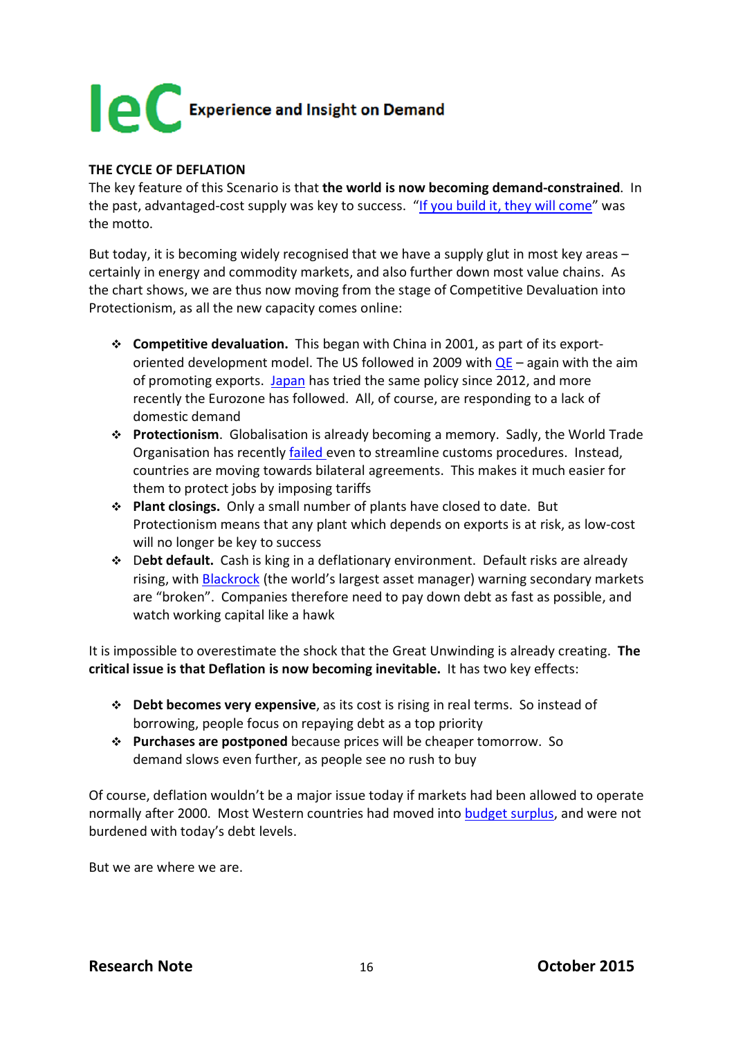

#### **THE CYCLE OF DEFLATION**

The key feature of this Scenario is that **the world is now becoming demand-constrained**. In the past, advantaged-cost supply was key to success. ["If you build it, they will come"](http://www.icis.com/blogs/chemicals-and-the-economy/2012/08/the-end-of-constant-growth/) was the motto.

But today, it is becoming widely recognised that we have a supply glut in most key areas – certainly in energy and commodity markets, and also further down most value chains. As the chart shows, we are thus now moving from the stage of Competitive Devaluation into Protectionism, as all the new capacity comes online:

- **Competitive devaluation.** This began with China in 2001, as part of its exportoriented development model. The US followed in 2009 with  $QE - a$ gain with the aim of promoting exports. [Japan](http://www.icis.com/blogs/chemicals-and-the-economy/2014/11/japan/) has tried the same policy since 2012, and more recently the Eurozone has followed. All, of course, are responding to a lack of domestic demand
- **Protectionism**. Globalisation is already becoming a memory. Sadly, the World Trade Organisation has recently [failed e](http://www.icis.com/blogs/chemicals-and-the-economy/2014/08/indias-veto-marks-end-global-trade-deals/)ven to streamline customs procedures. Instead, countries are moving towards bilateral agreements. This makes it much easier for them to protect jobs by imposing tariffs
- **Plant closings.** Only a small number of plants have closed to date. But Protectionism means that any plant which depends on exports is at risk, as low-cost will no longer be key to success
- D**ebt default.** Cash is king in a deflationary environment. Default risks are already rising, with [Blackrock](http://www.ft.com/cms/s/0/2f532b8e-4aed-11e4-839a-00144feab7de.html#axzz3HibCHisR) (the world's largest asset manager) warning secondary markets are "broken". Companies therefore need to pay down debt as fast as possible, and watch working capital like a hawk

It is impossible to overestimate the shock that the Great Unwinding is already creating. **The critical issue is that Deflation is now becoming inevitable.** It has two key effects:

- **Debt becomes very expensive**, as its cost is rising in real terms. So instead of borrowing, people focus on repaying debt as a top priority
- **Purchases are postponed** because prices will be cheaper tomorrow. So demand slows even further, as people see no rush to buy

Of course, deflation wouldn't be a major issue today if markets had been allowed to operate normally after 2000. Most Western countries had moved into [budget surplus,](http://www.icis.com/blogs/chemicals-and-the-economy/2013/12/deflation-far-likely-inflation/) and were not burdened with today's debt levels.

But we are where we are.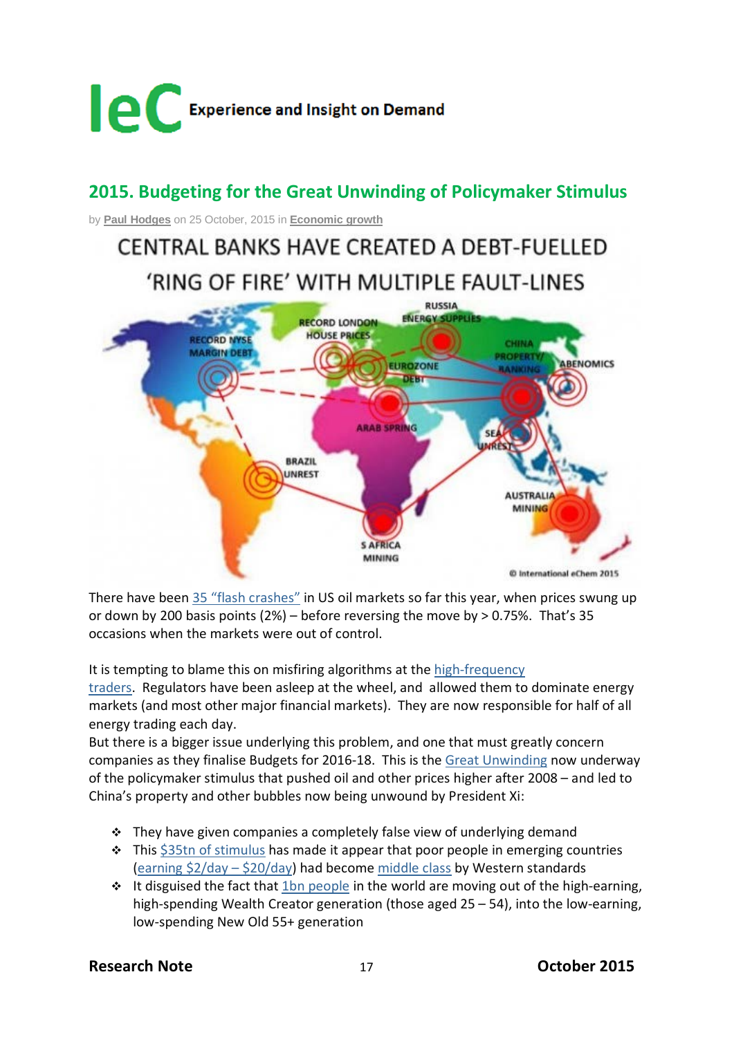

# **2015. Budgeting for the Great Unwinding of Policymaker Stimulus**

by **Paul [Hodges](https://icis.rbiblogs.co.uk/chemicals-and-the-economy/PaulHodges/)** on 25 October, 2015 in **[Economic](https://icis.rbiblogs.co.uk/chemicals-and-the-economy/economic-growth-1/) growth**

# CENTRAL BANKS HAVE CREATED A DEBT-FUELLED 'RING OF FIRE' WITH MULTIPLE FAULT-LINES



There have been 35 "flash [crashes"](http://www.ft.com/cms/s/0/c5a3c5bc-77fb-11e5-a95a-27d368e1ddf7.html#axzz3pPaGB3dw) in US oil markets so far this year, when prices swung up or down by 200 basis points  $(2%)$  – before reversing the move by > 0.75%. That's 35 occasions when the markets were out of control.

It is tempting to blame this on misfiring algorithms at the [high-frequency](http://www.icis.com/blogs/chemicals-and-the-economy/2014/04/high-frequency-traders-pay-millions-to-be-legal-highwaymen/)

[traders.](http://www.icis.com/blogs/chemicals-and-the-economy/2014/04/high-frequency-traders-pay-millions-to-be-legal-highwaymen/) Regulators have been asleep at the wheel, and allowed them to dominate energy markets (and most other major financial markets). They are now responsible for half of all energy trading each day.

But there is a bigger issue underlying this problem, and one that must greatly concern companies as they finalise Budgets for 2016-18. This is the Great [Unwinding](http://internationalechem.com/wp-content/uploads/2014/11/ICB-Nov14.pdf) now underway of the policymaker stimulus that pushed oil and other prices higher after 2008 – and led to China's property and other bubbles now being unwound by President Xi:

- $\cdot \cdot$  They have given companies a completely false view of underlying demand
- $\cdot$  This \$35tn of [stimulus](http://www.icis.com/blogs/chemicals-and-the-economy/2015/07/oil-markets-begin-slide-great-unwinding-resumes/) has made it appear that poor people in emerging countries (earning \$2/day – [\\$20/day\)](http://www.icis.com/blogs/chemicals-and-the-economy/2014/04/half-asians-still-living-2day-poverty-line/) had become [middle](http://www.icis.com/blogs/chemicals-and-the-economy/2015/02/vast-amounts-stimulus-made-china-middle-class/) class by Western standards
- $\cdot \cdot$  It disguised the fact that 1bn [people](http://www.icis.com/blogs/chemicals-and-the-economy/2015/10/1bn-people-joining-new-old-55-generation-just-pension-promises-turn-sour/) in the world are moving out of the high-earning, high-spending Wealth Creator generation (those aged 25 – 54), into the low-earning, low-spending New Old 55+ generation

### **Research Note** 17 **October 2015**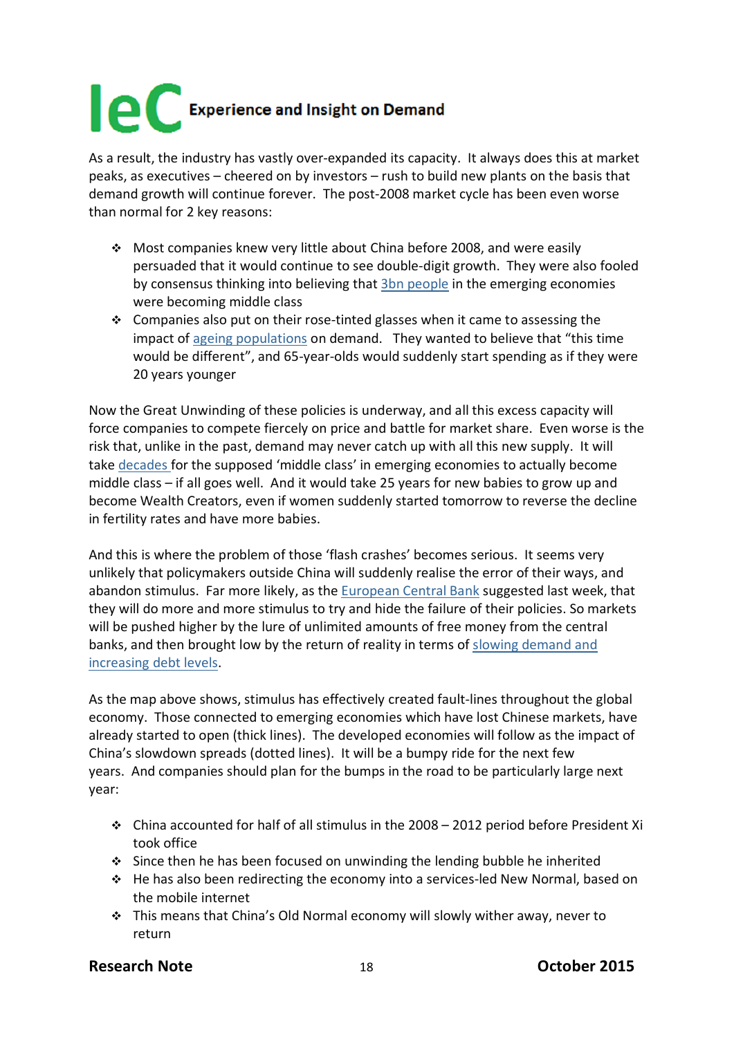As a result, the industry has vastly over-expanded its capacity. It always does this at market peaks, as executives – cheered on by investors – rush to build new plants on the basis that demand growth will continue forever. The post-2008 market cycle has been even worse than normal for 2 key reasons:

- Most companies knew very little about China before 2008, and were easily persuaded that it would continue to see double-digit growth. They were also fooled by consensus thinking into believing that 3bn [people](http://www.reuters.com/middle-class-infographic) in the emerging economies were becoming middle class
- $\div$  Companies also put on their rose-tinted glasses when it came to assessing the impact of ageing [populations](http://www.icis.com/blogs/chemicals-and-the-economy/2015/10/1bn-people-joining-new-old-55-generation-just-pension-promises-turn-sour/) on demand. They wanted to believe that "this time would be different", and 65-year-olds would suddenly start spending as if they were 20 years younger

Now the Great Unwinding of these policies is underway, and all this excess capacity will force companies to compete fiercely on price and battle for market share. Even worse is the risk that, unlike in the past, demand may never catch up with all this new supply. It will take [decades](http://www.new-normal.com/book/chapter-6/) for the supposed 'middle class' in emerging economies to actually become middle class – if all goes well. And it would take 25 years for new babies to grow up and become Wealth Creators, even if women suddenly started tomorrow to reverse the decline in fertility rates and have more babies.

And this is where the problem of those 'flash crashes' becomes serious. It seems very unlikely that policymakers outside China will suddenly realise the error of their ways, and abandon stimulus. Far more likely, as the [European](http://www.cnbc.com/2015/10/23/3-ways-to-trade-the-draghi-santa-rally.html) Central Bank suggested last week, that they will do more and more stimulus to try and hide the failure of their policies. So markets will be pushed higher by the lure of unlimited amounts of free money from the central banks, and then brought low by the return of reality in terms of slowing [demand](http://www.icis.com/blogs/chemicals-and-the-economy/2015/02/mckinsey-says-debt-now-nearly-3x-global-gdp-rising/) and [increasing](http://www.icis.com/blogs/chemicals-and-the-economy/2015/02/mckinsey-says-debt-now-nearly-3x-global-gdp-rising/) debt levels.

As the map above shows, stimulus has effectively created fault-lines throughout the global economy. Those connected to emerging economies which have lost Chinese markets, have already started to open (thick lines). The developed economies will follow as the impact of China's slowdown spreads (dotted lines). It will be a bumpy ride for the next few years. And companies should plan for the bumps in the road to be particularly large next year:

- China accounted for half of all stimulus in the 2008 2012 period before President Xi took office
- Since then he has been focused on unwinding the lending bubble he inherited
- He has also been redirecting the economy into a services-led New Normal, based on the mobile internet
- This means that China's Old Normal economy will slowly wither away, never to return

### **Research Note** 18 **October 2015**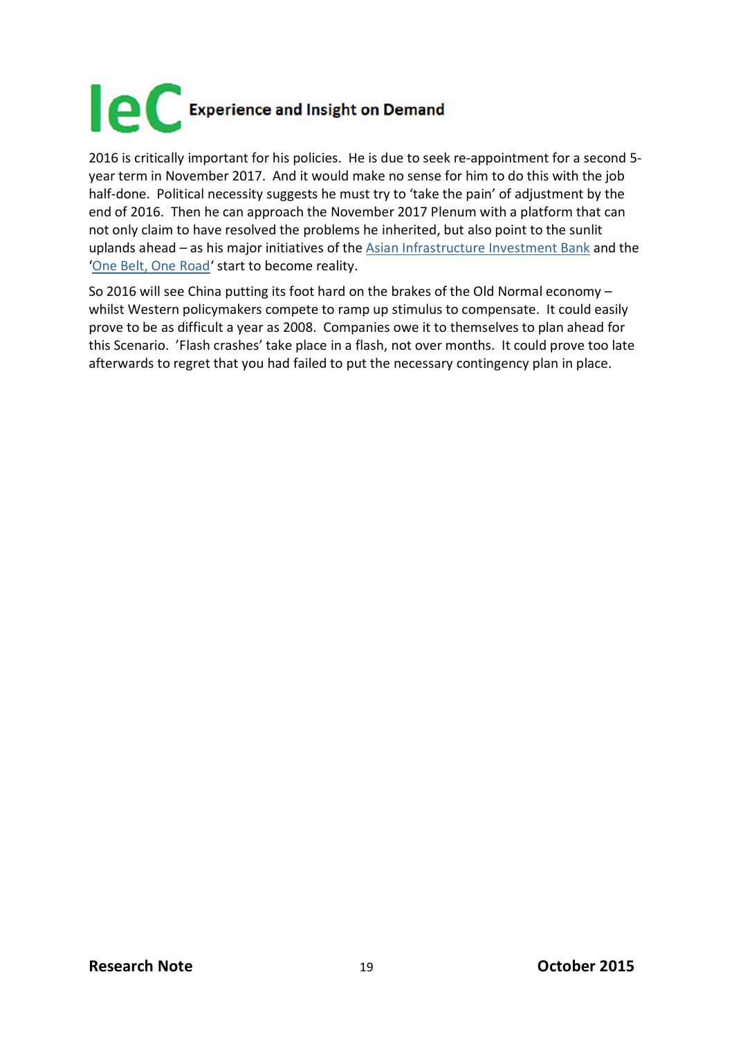

2016 is critically important for his policies. He is due to seek re-appointment for a second 5 year term in November 2017. And it would make no sense for him to do this with the job half-done. Political necessity suggests he must try to 'take the pain' of adjustment by the end of 2016. Then he can approach the November 2017 Plenum with a platform that can not only claim to have resolved the problems he inherited, but also point to the sunlit uplands ahead – as his major initiatives of the Asian [Infrastructure](http://www.icis.com/blogs/chemicals-and-the-economy/2015/03/chinas-new-policies-cause-west-scramble-catch/) Investment Bank and the 'One Belt, One [Road'](http://www.icis.com/blogs/chemicals-and-the-economy/2014/11/china-plans-90bn-spend-new-silk-roads/) start to become reality.

So 2016 will see China putting its foot hard on the brakes of the Old Normal economy – whilst Western policymakers compete to ramp up stimulus to compensate. It could easily prove to be as difficult a year as 2008. Companies owe it to themselves to plan ahead for this Scenario. 'Flash crashes' take place in a flash, not over months. It could prove too late afterwards to regret that you had failed to put the necessary contingency plan in place.